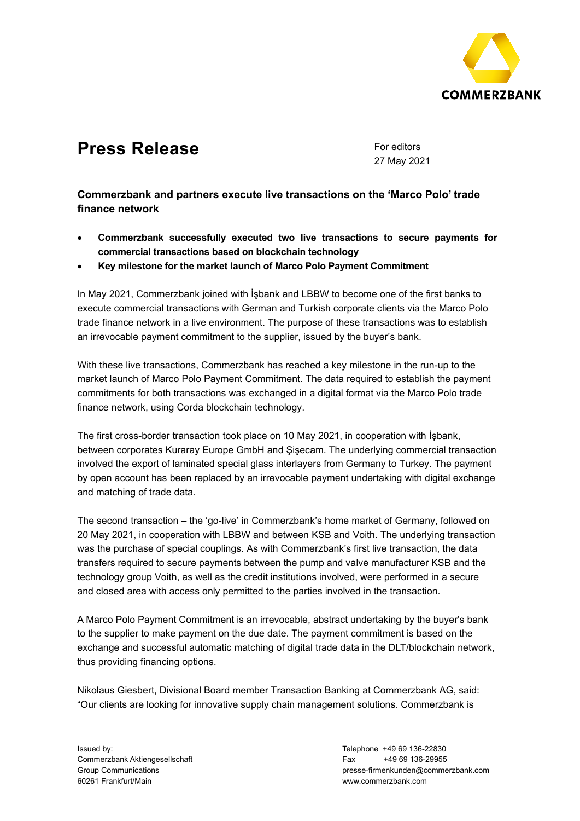

# **Press Release** For editors

27 May 2021

**Commerzbank and partners execute live transactions on the 'Marco Polo' trade finance network** 

- **Commerzbank successfully executed two live transactions to secure payments for commercial transactions based on blockchain technology**
- **Key milestone for the market launch of Marco Polo Payment Commitment**

In May 2021, Commerzbank joined with İşbank and LBBW to become one of the first banks to execute commercial transactions with German and Turkish corporate clients via the Marco Polo trade finance network in a live environment. The purpose of these transactions was to establish an irrevocable payment commitment to the supplier, issued by the buyer's bank.

With these live transactions, Commerzbank has reached a key milestone in the run-up to the market launch of Marco Polo Payment Commitment. The data required to establish the payment commitments for both transactions was exchanged in a digital format via the Marco Polo trade finance network, using Corda blockchain technology.

The first cross-border transaction took place on 10 May 2021, in cooperation with İşbank, between corporates Kuraray Europe GmbH and Şişecam. The underlying commercial transaction involved the export of laminated special glass interlayers from Germany to Turkey. The payment by open account has been replaced by an irrevocable payment undertaking with digital exchange and matching of trade data.

The second transaction – the 'go-live' in Commerzbank's home market of Germany, followed on 20 May 2021, in cooperation with LBBW and between KSB and Voith. The underlying transaction was the purchase of special couplings. As with Commerzbank's first live transaction, the data transfers required to secure payments between the pump and valve manufacturer KSB and the technology group Voith, as well as the credit institutions involved, were performed in a secure and closed area with access only permitted to the parties involved in the transaction.

A Marco Polo Payment Commitment is an irrevocable, abstract undertaking by the buyer's bank to the supplier to make payment on the due date. The payment commitment is based on the exchange and successful automatic matching of digital trade data in the DLT/blockchain network, thus providing financing options.

Nikolaus Giesbert, Divisional Board member Transaction Banking at Commerzbank AG, said: "Our clients are looking for innovative supply chain management solutions. Commerzbank is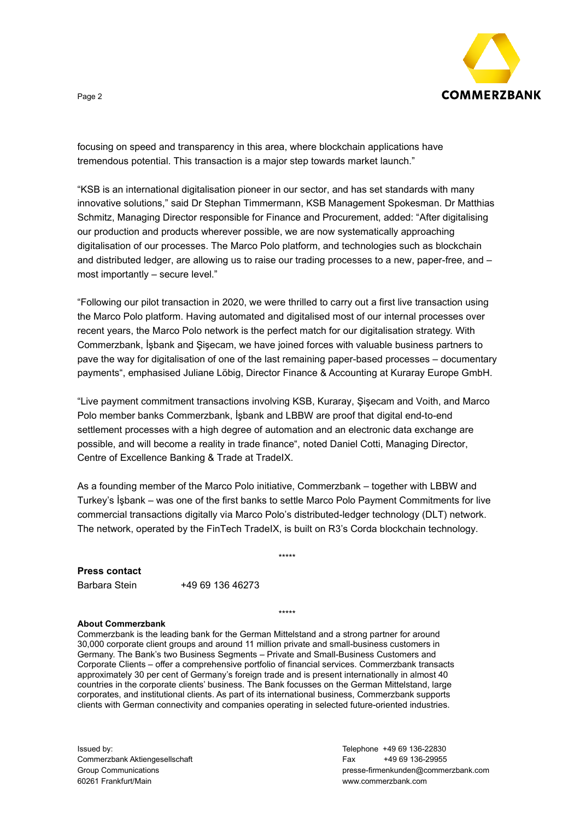

focusing on speed and transparency in this area, where blockchain applications have tremendous potential. This transaction is a major step towards market launch."

"KSB is an international digitalisation pioneer in our sector, and has set standards with many innovative solutions," said Dr Stephan Timmermann, KSB Management Spokesman. Dr Matthias Schmitz, Managing Director responsible for Finance and Procurement, added: "After digitalising our production and products wherever possible, we are now systematically approaching digitalisation of our processes. The Marco Polo platform, and technologies such as blockchain and distributed ledger, are allowing us to raise our trading processes to a new, paper-free, and – most importantly – secure level."

"Following our pilot transaction in 2020, we were thrilled to carry out a first live transaction using the Marco Polo platform. Having automated and digitalised most of our internal processes over recent years, the Marco Polo network is the perfect match for our digitalisation strategy. With Commerzbank, İşbank and Şişecam, we have joined forces with valuable business partners to pave the way for digitalisation of one of the last remaining paper-based processes – documentary payments", emphasised Juliane Löbig, Director Finance & Accounting at Kuraray Europe GmbH.

"Live payment commitment transactions involving KSB, Kuraray, Şişecam and Voith, and Marco Polo member banks Commerzbank, İşbank and LBBW are proof that digital end-to-end settlement processes with a high degree of automation and an electronic data exchange are possible, and will become a reality in trade finance", noted Daniel Cotti, Managing Director, Centre of Excellence Banking & Trade at TradeIX.

As a founding member of the Marco Polo initiative, Commerzbank – together with LBBW and Turkey's İşbank – was one of the first banks to settle Marco Polo Payment Commitments for live commercial transactions digitally via Marco Polo's distributed-ledger technology (DLT) network. The network, operated by the FinTech TradeIX, is built on R3's Corda blockchain technology.

\*\*\*\*\*

# **Press contact**

| Barbara Stein | +49 69 136 46273 |
|---------------|------------------|
|               |                  |

#### \*\*\*\*\*

## **About Commerzbank**

Commerzbank is the leading bank for the German Mittelstand and a strong partner for around 30,000 corporate client groups and around 11 million private and small-business customers in Germany. The Bank's two Business Segments – Private and Small-Business Customers and Corporate Clients – offer a comprehensive portfolio of financial services. Commerzbank transacts approximately 30 per cent of Germany's foreign trade and is present internationally in almost 40 countries in the corporate clients' business. The Bank focusses on the German Mittelstand, large corporates, and institutional clients. As part of its international business, Commerzbank supports clients with German connectivity and companies operating in selected future-oriented industries.

Issued by: Commerzbank Aktiengesellschaft Group Communications 60261 Frankfurt/Main

Telephone +49 69 136-22830 Fax +49 69 136-29955 presse-firmenkunden@commerzbank.com www.commerzbank.com

### Page 2